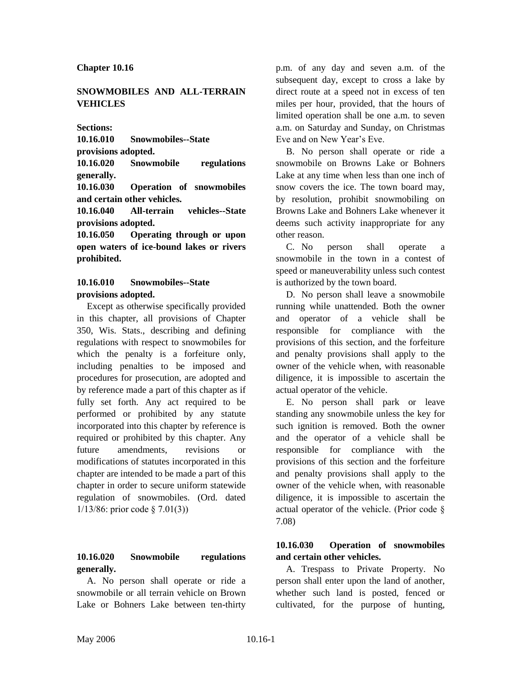#### **Chapter 10.16**

### **SNOWMOBILES AND ALL-TERRAIN VEHICLES**

**Sections:**

**10.16.010 Snowmobiles--State** 

**provisions adopted.**

**10.16.020 Snowmobile regulations generally.**

**10.16.030 Operation of snowmobiles and certain other vehicles.**

**10.16.040 All-terrain vehicles--State provisions adopted.**

**10.16.050 Operating through or upon open waters of ice-bound lakes or rivers prohibited.**

#### **10.16.010 Snowmobiles--State provisions adopted.**

Except as otherwise specifically provided in this chapter, all provisions of Chapter 350, Wis. Stats., describing and defining regulations with respect to snowmobiles for which the penalty is a forfeiture only, including penalties to be imposed and procedures for prosecution, are adopted and by reference made a part of this chapter as if fully set forth. Any act required to be performed or prohibited by any statute incorporated into this chapter by reference is required or prohibited by this chapter. Any future amendments, revisions or modifications of statutes incorporated in this chapter are intended to be made a part of this chapter in order to secure uniform statewide regulation of snowmobiles. (Ord. dated 1/13/86: prior code § 7.01(3))

# **10.16.020 Snowmobile regulations generally.**

A. No person shall operate or ride a snowmobile or all terrain vehicle on Brown Lake or Bohners Lake between ten-thirty

p.m. of any day and seven a.m. of the subsequent day, except to cross a lake by direct route at a speed not in excess of ten miles per hour, provided, that the hours of limited operation shall be one a.m. to seven a.m. on Saturday and Sunday, on Christmas Eve and on New Year's Eve.

B. No person shall operate or ride a snowmobile on Browns Lake or Bohners Lake at any time when less than one inch of snow covers the ice. The town board may, by resolution, prohibit snowmobiling on Browns Lake and Bohners Lake whenever it deems such activity inappropriate for any other reason.

C. No person shall operate a snowmobile in the town in a contest of speed or maneuverability unless such contest is authorized by the town board.

D. No person shall leave a snowmobile running while unattended. Both the owner and operator of a vehicle shall be responsible for compliance with the provisions of this section, and the forfeiture and penalty provisions shall apply to the owner of the vehicle when, with reasonable diligence, it is impossible to ascertain the actual operator of the vehicle.

E. No person shall park or leave standing any snowmobile unless the key for such ignition is removed. Both the owner and the operator of a vehicle shall be responsible for compliance with the provisions of this section and the forfeiture and penalty provisions shall apply to the owner of the vehicle when, with reasonable diligence, it is impossible to ascertain the actual operator of the vehicle. (Prior code § 7.08)

#### **10.16.030 Operation of snowmobiles and certain other vehicles.**

A. Trespass to Private Property. No person shall enter upon the land of another, whether such land is posted, fenced or cultivated, for the purpose of hunting,